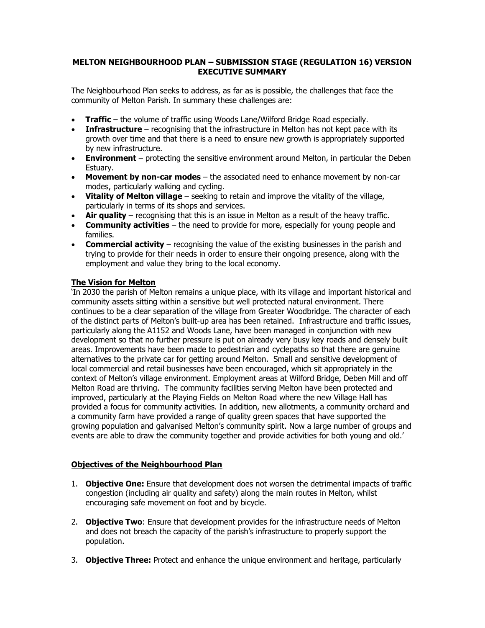## **MELTON NEIGHBOURHOOD PLAN – SUBMISSION STAGE (REGULATION 16) VERSION EXECUTIVE SUMMARY**

The Neighbourhood Plan seeks to address, as far as is possible, the challenges that face the community of Melton Parish. In summary these challenges are:

- **Traffic**  the volume of traffic using Woods Lane/Wilford Bridge Road especially.
- **Infrastructure** recognising that the infrastructure in Melton has not kept pace with its growth over time and that there is a need to ensure new growth is appropriately supported by new infrastructure.
- **Environment**  protecting the sensitive environment around Melton, in particular the Deben Estuary.
- **Movement by non-car modes**  the associated need to enhance movement by non-car modes, particularly walking and cycling.
- **Vitality of Melton village**  seeking to retain and improve the vitality of the village, particularly in terms of its shops and services.
- Air quality recognising that this is an issue in Melton as a result of the heavy traffic.
- **Community activities**  the need to provide for more, especially for young people and families.
- **Commercial activity** recognising the value of the existing businesses in the parish and trying to provide for their needs in order to ensure their ongoing presence, along with the employment and value they bring to the local economy.

# **The Vision for Melton**

'In 2030 the parish of Melton remains a unique place, with its village and important historical and community assets sitting within a sensitive but well protected natural environment. There continues to be a clear separation of the village from Greater Woodbridge. The character of each of the distinct parts of Melton's built-up area has been retained. Infrastructure and traffic issues, particularly along the A1152 and Woods Lane, have been managed in conjunction with new development so that no further pressure is put on already very busy key roads and densely built areas. Improvements have been made to pedestrian and cyclepaths so that there are genuine alternatives to the private car for getting around Melton. Small and sensitive development of local commercial and retail businesses have been encouraged, which sit appropriately in the context of Melton's village environment. Employment areas at Wilford Bridge, Deben Mill and off Melton Road are thriving. The community facilities serving Melton have been protected and improved, particularly at the Playing Fields on Melton Road where the new Village Hall has provided a focus for community activities. In addition, new allotments, a community orchard and a community farm have provided a range of quality green spaces that have supported the growing population and galvanised Melton's community spirit. Now a large number of groups and events are able to draw the community together and provide activities for both young and old.'

# **Objectives of the Neighbourhood Plan**

- 1. **Objective One:** Ensure that development does not worsen the detrimental impacts of traffic congestion (including air quality and safety) along the main routes in Melton, whilst encouraging safe movement on foot and by bicycle.
- 2. **Objective Two**: Ensure that development provides for the infrastructure needs of Melton and does not breach the capacity of the parish's infrastructure to properly support the population.
- 3. **Objective Three:** Protect and enhance the unique environment and heritage, particularly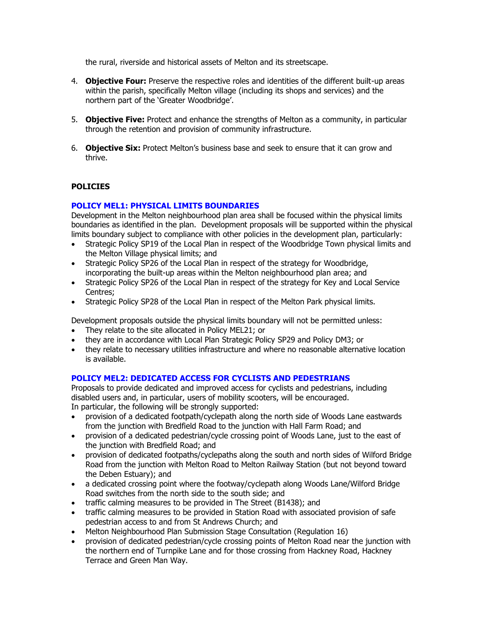the rural, riverside and historical assets of Melton and its streetscape.

- 4. **Objective Four:** Preserve the respective roles and identities of the different built-up areas within the parish, specifically Melton village (including its shops and services) and the northern part of the 'Greater Woodbridge'.
- 5. **Objective Five:** Protect and enhance the strengths of Melton as a community, in particular through the retention and provision of community infrastructure.
- 6. **Objective Six:** Protect Melton's business base and seek to ensure that it can grow and thrive.

# **POLICIES**

## **POLICY MEL1: PHYSICAL LIMITS BOUNDARIES**

Development in the Melton neighbourhood plan area shall be focused within the physical limits boundaries as identified in the plan. Development proposals will be supported within the physical limits boundary subject to compliance with other policies in the development plan, particularly:

- Strategic Policy SP19 of the Local Plan in respect of the Woodbridge Town physical limits and the Melton Village physical limits; and
- Strategic Policy SP26 of the Local Plan in respect of the strategy for Woodbridge, incorporating the built-up areas within the Melton neighbourhood plan area; and
- Strategic Policy SP26 of the Local Plan in respect of the strategy for Key and Local Service Centres;
- Strategic Policy SP28 of the Local Plan in respect of the Melton Park physical limits.

Development proposals outside the physical limits boundary will not be permitted unless:

- They relate to the site allocated in Policy MEL21; or
- they are in accordance with Local Plan Strategic Policy SP29 and Policy DM3; or
- they relate to necessary utilities infrastructure and where no reasonable alternative location is available.

## **POLICY MEL2: DEDICATED ACCESS FOR CYCLISTS AND PEDESTRIANS**

Proposals to provide dedicated and improved access for cyclists and pedestrians, including disabled users and, in particular, users of mobility scooters, will be encouraged. In particular, the following will be strongly supported:

- provision of a dedicated footpath/cyclepath along the north side of Woods Lane eastwards from the junction with Bredfield Road to the junction with Hall Farm Road; and
- provision of a dedicated pedestrian/cycle crossing point of Woods Lane, just to the east of the junction with Bredfield Road; and
- provision of dedicated footpaths/cyclepaths along the south and north sides of Wilford Bridge Road from the junction with Melton Road to Melton Railway Station (but not beyond toward the Deben Estuary); and
- a dedicated crossing point where the footway/cyclepath along Woods Lane/Wilford Bridge Road switches from the north side to the south side; and
- traffic calming measures to be provided in The Street (B1438); and
- traffic calming measures to be provided in Station Road with associated provision of safe pedestrian access to and from St Andrews Church; and
- Melton Neighbourhood Plan Submission Stage Consultation (Regulation 16)
- provision of dedicated pedestrian/cycle crossing points of Melton Road near the junction with the northern end of Turnpike Lane and for those crossing from Hackney Road, Hackney Terrace and Green Man Way.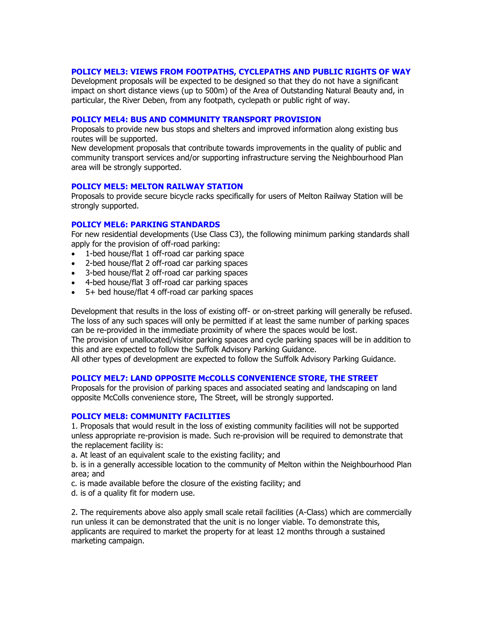### **POLICY MEL3: VIEWS FROM FOOTPATHS, CYCLEPATHS AND PUBLIC RIGHTS OF WAY**

Development proposals will be expected to be designed so that they do not have a significant impact on short distance views (up to 500m) of the Area of Outstanding Natural Beauty and, in particular, the River Deben, from any footpath, cyclepath or public right of way.

#### **POLICY MEL4: BUS AND COMMUNITY TRANSPORT PROVISION**

Proposals to provide new bus stops and shelters and improved information along existing bus routes will be supported.

New development proposals that contribute towards improvements in the quality of public and community transport services and/or supporting infrastructure serving the Neighbourhood Plan area will be strongly supported.

#### **POLICY MEL5: MELTON RAILWAY STATION**

Proposals to provide secure bicycle racks specifically for users of Melton Railway Station will be strongly supported.

### **POLICY MEL6: PARKING STANDARDS**

For new residential developments (Use Class C3), the following minimum parking standards shall apply for the provision of off-road parking:

- 1-bed house/flat 1 off-road car parking space
- 2-bed house/flat 2 off-road car parking spaces
- 3-bed house/flat 2 off-road car parking spaces
- 4-bed house/flat 3 off-road car parking spaces
- 5+ bed house/flat 4 off-road car parking spaces

Development that results in the loss of existing off- or on-street parking will generally be refused. The loss of any such spaces will only be permitted if at least the same number of parking spaces can be re-provided in the immediate proximity of where the spaces would be lost. The provision of unallocated/visitor parking spaces and cycle parking spaces will be in addition to

this and are expected to follow the Suffolk Advisory Parking Guidance.

All other types of development are expected to follow the Suffolk Advisory Parking Guidance.

### **POLICY MEL7: LAND OPPOSITE McCOLLS CONVENIENCE STORE, THE STREET**

Proposals for the provision of parking spaces and associated seating and landscaping on land opposite McColls convenience store, The Street, will be strongly supported.

### **POLICY MEL8: COMMUNITY FACILITIES**

1. Proposals that would result in the loss of existing community facilities will not be supported unless appropriate re-provision is made. Such re-provision will be required to demonstrate that the replacement facility is:

a. At least of an equivalent scale to the existing facility; and

b. is in a generally accessible location to the community of Melton within the Neighbourhood Plan area; and

c. is made available before the closure of the existing facility; and

d. is of a quality fit for modern use.

2. The requirements above also apply small scale retail facilities (A-Class) which are commercially run unless it can be demonstrated that the unit is no longer viable. To demonstrate this, applicants are required to market the property for at least 12 months through a sustained marketing campaign.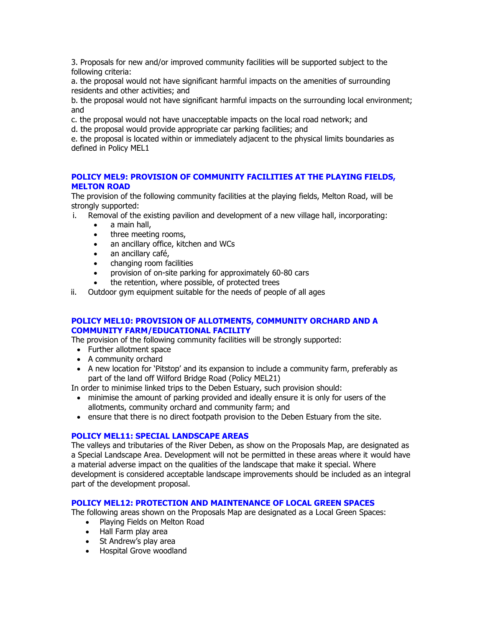3. Proposals for new and/or improved community facilities will be supported subject to the following criteria:

a. the proposal would not have significant harmful impacts on the amenities of surrounding residents and other activities; and

b. the proposal would not have significant harmful impacts on the surrounding local environment; and

c. the proposal would not have unacceptable impacts on the local road network; and

d. the proposal would provide appropriate car parking facilities; and

e. the proposal is located within or immediately adjacent to the physical limits boundaries as defined in Policy MEL1

## **POLICY MEL9: PROVISION OF COMMUNITY FACILITIES AT THE PLAYING FIELDS, MELTON ROAD**

The provision of the following community facilities at the playing fields, Melton Road, will be strongly supported:

- i. Removal of the existing pavilion and development of a new village hall, incorporating:
	- a main hall,
	- three meeting rooms,
	- an ancillary office, kitchen and WCs
	- an ancillary café,
	- changing room facilities
	- provision of on-site parking for approximately 60-80 cars
	- the retention, where possible, of protected trees
- ii. Outdoor gym equipment suitable for the needs of people of all ages

## **POLICY MEL10: PROVISION OF ALLOTMENTS, COMMUNITY ORCHARD AND A COMMUNITY FARM/EDUCATIONAL FACILITY**

The provision of the following community facilities will be strongly supported:

- Further allotment space
- A community orchard
- A new location for 'Pitstop' and its expansion to include a community farm, preferably as part of the land off Wilford Bridge Road (Policy MEL21)

In order to minimise linked trips to the Deben Estuary, such provision should:

- minimise the amount of parking provided and ideally ensure it is only for users of the allotments, community orchard and community farm; and
- ensure that there is no direct footpath provision to the Deben Estuary from the site.

## **POLICY MEL11: SPECIAL LANDSCAPE AREAS**

The valleys and tributaries of the River Deben, as show on the Proposals Map, are designated as a Special Landscape Area. Development will not be permitted in these areas where it would have a material adverse impact on the qualities of the landscape that make it special. Where development is considered acceptable landscape improvements should be included as an integral part of the development proposal.

# **POLICY MEL12: PROTECTION AND MAINTENANCE OF LOCAL GREEN SPACES**

The following areas shown on the Proposals Map are designated as a Local Green Spaces:

- Playing Fields on Melton Road
- Hall Farm play area
- St Andrew's play area
- Hospital Grove woodland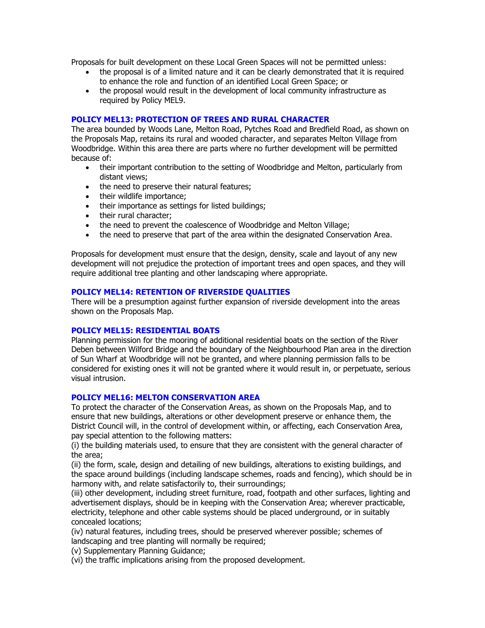Proposals for built development on these Local Green Spaces will not be permitted unless:

- the proposal is of a limited nature and it can be clearly demonstrated that it is required to enhance the role and function of an identified Local Green Space; or
- the proposal would result in the development of local community infrastructure as required by Policy MEL9.

### **POLICY MEL13: PROTECTION OF TREES AND RURAL CHARACTER**

The area bounded by Woods Lane, Melton Road, Pytches Road and Bredfield Road, as shown on the Proposals Map, retains its rural and wooded character, and separates Melton Village from Woodbridge. Within this area there are parts where no further development will be permitted because of:

- their important contribution to the setting of Woodbridge and Melton, particularly from distant views;
- the need to preserve their natural features;
- their wildlife importance;
- their importance as settings for listed buildings;
- their rural character:
- the need to prevent the coalescence of Woodbridge and Melton Village;
- the need to preserve that part of the area within the designated Conservation Area.

Proposals for development must ensure that the design, density, scale and layout of any new development will not prejudice the protection of important trees and open spaces, and they will require additional tree planting and other landscaping where appropriate.

### **POLICY MEL14: RETENTION OF RIVERSIDE QUALITIES**

There will be a presumption against further expansion of riverside development into the areas shown on the Proposals Map.

### **POLICY MEL15: RESIDENTIAL BOATS**

Planning permission for the mooring of additional residential boats on the section of the River Deben between Wilford Bridge and the boundary of the Neighbourhood Plan area in the direction of Sun Wharf at Woodbridge will not be granted, and where planning permission falls to be considered for existing ones it will not be granted where it would result in, or perpetuate, serious visual intrusion.

### **POLICY MEL16: MELTON CONSERVATION AREA**

To protect the character of the Conservation Areas, as shown on the Proposals Map, and to ensure that new buildings, alterations or other development preserve or enhance them, the District Council will, in the control of development within, or affecting, each Conservation Area, pay special attention to the following matters:

(i) the building materials used, to ensure that they are consistent with the general character of the area;

(ii) the form, scale, design and detailing of new buildings, alterations to existing buildings, and the space around buildings (including landscape schemes, roads and fencing), which should be in harmony with, and relate satisfactorily to, their surroundings;

(iii) other development, including street furniture, road, footpath and other surfaces, lighting and advertisement displays, should be in keeping with the Conservation Area; wherever practicable, electricity, telephone and other cable systems should be placed underground, or in suitably concealed locations;

(iv) natural features, including trees, should be preserved wherever possible; schemes of landscaping and tree planting will normally be required;

(v) Supplementary Planning Guidance;

(vi) the traffic implications arising from the proposed development.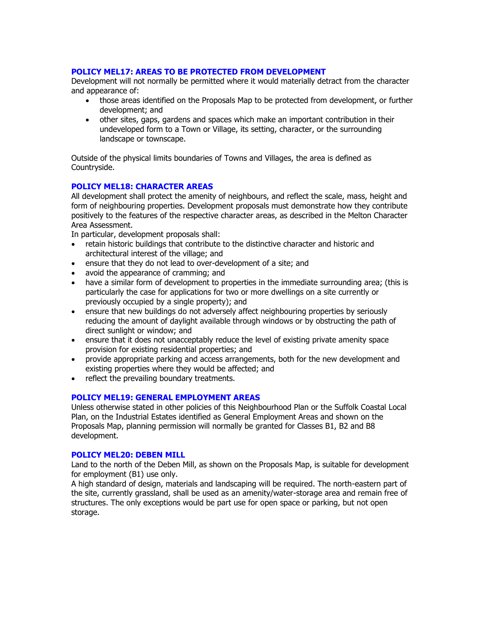### **POLICY MEL17: AREAS TO BE PROTECTED FROM DEVELOPMENT**

Development will not normally be permitted where it would materially detract from the character and appearance of:

- those areas identified on the Proposals Map to be protected from development, or further development; and
- other sites, gaps, gardens and spaces which make an important contribution in their undeveloped form to a Town or Village, its setting, character, or the surrounding landscape or townscape.

Outside of the physical limits boundaries of Towns and Villages, the area is defined as Countryside.

### **POLICY MEL18: CHARACTER AREAS**

All development shall protect the amenity of neighbours, and reflect the scale, mass, height and form of neighbouring properties. Development proposals must demonstrate how they contribute positively to the features of the respective character areas, as described in the Melton Character Area Assessment.

In particular, development proposals shall:

- retain historic buildings that contribute to the distinctive character and historic and architectural interest of the village; and
- ensure that they do not lead to over-development of a site; and
- avoid the appearance of cramming; and
- have a similar form of development to properties in the immediate surrounding area; (this is particularly the case for applications for two or more dwellings on a site currently or previously occupied by a single property); and
- ensure that new buildings do not adversely affect neighbouring properties by seriously reducing the amount of daylight available through windows or by obstructing the path of direct sunlight or window; and
- ensure that it does not unacceptably reduce the level of existing private amenity space provision for existing residential properties; and
- provide appropriate parking and access arrangements, both for the new development and existing properties where they would be affected; and
- reflect the prevailing boundary treatments.

### **POLICY MEL19: GENERAL EMPLOYMENT AREAS**

Unless otherwise stated in other policies of this Neighbourhood Plan or the Suffolk Coastal Local Plan, on the Industrial Estates identified as General Employment Areas and shown on the Proposals Map, planning permission will normally be granted for Classes B1, B2 and B8 development.

### **POLICY MEL20: DEBEN MILL**

Land to the north of the Deben Mill, as shown on the Proposals Map, is suitable for development for employment (B1) use only.

A high standard of design, materials and landscaping will be required. The north-eastern part of the site, currently grassland, shall be used as an amenity/water-storage area and remain free of structures. The only exceptions would be part use for open space or parking, but not open storage.